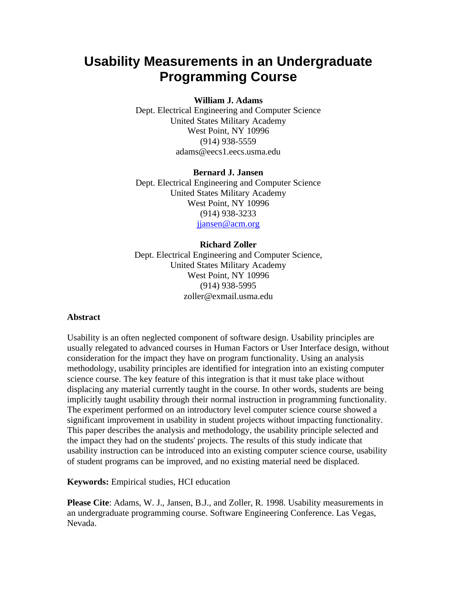# **Usability Measurements in an Undergraduate Programming Course**

#### **William J. Adams**

Dept. Electrical Engineering and Computer Science United States Military Academy West Point, NY 10996 (914) 938-5559 adams@eecs1.eecs.usma.edu

#### **Bernard J. Jansen**

Dept. Electrical Engineering and Computer Science United States Military Academy West Point, NY 10996 (914) 938-3233 jiansen@acm.org

#### **Richard Zoller**

Dept. Electrical Engineering and Computer Science, United States Military Academy West Point, NY 10996 (914) 938-5995 zoller@exmail.usma.edu

#### **Abstract**

Usability is an often neglected component of software design. Usability principles are usually relegated to advanced courses in Human Factors or User Interface design, without consideration for the impact they have on program functionality. Using an analysis methodology, usability principles are identified for integration into an existing computer science course. The key feature of this integration is that it must take place without displacing any material currently taught in the course. In other words, students are being implicitly taught usability through their normal instruction in programming functionality. The experiment performed on an introductory level computer science course showed a significant improvement in usability in student projects without impacting functionality. This paper describes the analysis and methodology, the usability principle selected and the impact they had on the students' projects. The results of this study indicate that usability instruction can be introduced into an existing computer science course, usability of student programs can be improved, and no existing material need be displaced.

#### **Keywords:** Empirical studies, HCI education

**Please Cite**: Adams, W. J., Jansen, B.J., and Zoller, R. 1998. Usability measurements in an undergraduate programming course. Software Engineering Conference. Las Vegas, Nevada.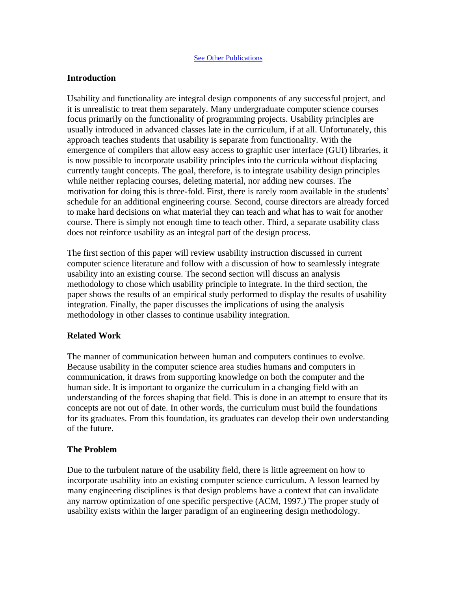#### **See Other Publications**

### **Introduction**

Usability and functionality are integral design components of any successful project, and it is unrealistic to treat them separately. Many undergraduate computer science courses focus primarily on the functionality of programming projects. Usability principles are usually introduced in advanced classes late in the curriculum, if at all. Unfortunately, this approach teaches students that usability is separate from functionality. With the emergence of compilers that allow easy access to graphic user interface (GUI) libraries, it is now possible to incorporate usability principles into the curricula without displacing currently taught concepts. The goal, therefore, is to integrate usability design principles while neither replacing courses, deleting material, nor adding new courses. The motivation for doing this is three-fold. First, there is rarely room available in the students' schedule for an additional engineering course. Second, course directors are already forced to make hard decisions on what material they can teach and what has to wait for another course. There is simply not enough time to teach other. Third, a separate usability class does not reinforce usability as an integral part of the design process.

The first section of this paper will review usability instruction discussed in current computer science literature and follow with a discussion of how to seamlessly integrate usability into an existing course. The second section will discuss an analysis methodology to chose which usability principle to integrate. In the third section, the paper shows the results of an empirical study performed to display the results of usability integration. Finally, the paper discusses the implications of using the analysis methodology in other classes to continue usability integration.

## **Related Work**

The manner of communication between human and computers continues to evolve. Because usability in the computer science area studies humans and computers in communication, it draws from supporting knowledge on both the computer and the human side. It is important to organize the curriculum in a changing field with an understanding of the forces shaping that field. This is done in an attempt to ensure that its concepts are not out of date. In other words, the curriculum must build the foundations for its graduates. From this foundation, its graduates can develop their own understanding of the future.

## **The Problem**

Due to the turbulent nature of the usability field, there is little agreement on how to incorporate usability into an existing computer science curriculum. A lesson learned by many engineering disciplines is that design problems have a context that can invalidate any narrow optimization of one specific perspective (ACM, 1997.) The proper study of usability exists within the larger paradigm of an engineering design methodology.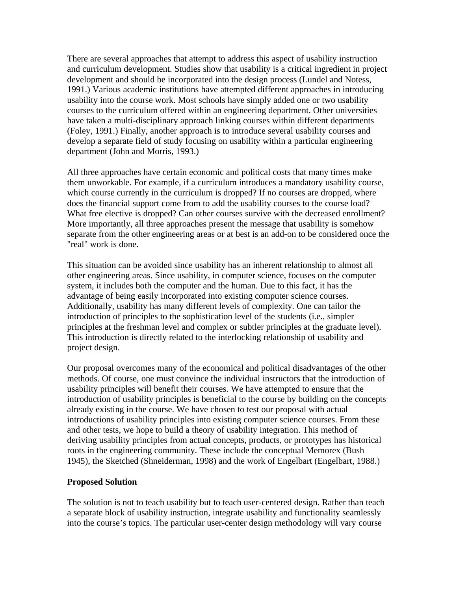There are several approaches that attempt to address this aspect of usability instruction and curriculum development. Studies show that usability is a critical ingredient in project development and should be incorporated into the design process (Lundel and Notess, 1991.) Various academic institutions have attempted different approaches in introducing usability into the course work. Most schools have simply added one or two usability courses to the curriculum offered within an engineering department. Other universities have taken a multi-disciplinary approach linking courses within different departments (Foley, 1991.) Finally, another approach is to introduce several usability courses and develop a separate field of study focusing on usability within a particular engineering department (John and Morris, 1993.)

All three approaches have certain economic and political costs that many times make them unworkable. For example, if a curriculum introduces a mandatory usability course, which course currently in the curriculum is dropped? If no courses are dropped, where does the financial support come from to add the usability courses to the course load? What free elective is dropped? Can other courses survive with the decreased enrollment? More importantly, all three approaches present the message that usability is somehow separate from the other engineering areas or at best is an add-on to be considered once the "real" work is done.

This situation can be avoided since usability has an inherent relationship to almost all other engineering areas. Since usability, in computer science, focuses on the computer system, it includes both the computer and the human. Due to this fact, it has the advantage of being easily incorporated into existing computer science courses. Additionally, usability has many different levels of complexity. One can tailor the introduction of principles to the sophistication level of the students (i.e., simpler principles at the freshman level and complex or subtler principles at the graduate level). This introduction is directly related to the interlocking relationship of usability and project design.

Our proposal overcomes many of the economical and political disadvantages of the other methods. Of course, one must convince the individual instructors that the introduction of usability principles will benefit their courses. We have attempted to ensure that the introduction of usability principles is beneficial to the course by building on the concepts already existing in the course. We have chosen to test our proposal with actual introductions of usability principles into existing computer science courses. From these and other tests, we hope to build a theory of usability integration. This method of deriving usability principles from actual concepts, products, or prototypes has historical roots in the engineering community. These include the conceptual Memorex (Bush 1945), the Sketched (Shneiderman, 1998) and the work of Engelbart (Engelbart, 1988.)

## **Proposed Solution**

The solution is not to teach usability but to teach user-centered design. Rather than teach a separate block of usability instruction, integrate usability and functionality seamlessly into the course's topics. The particular user-center design methodology will vary course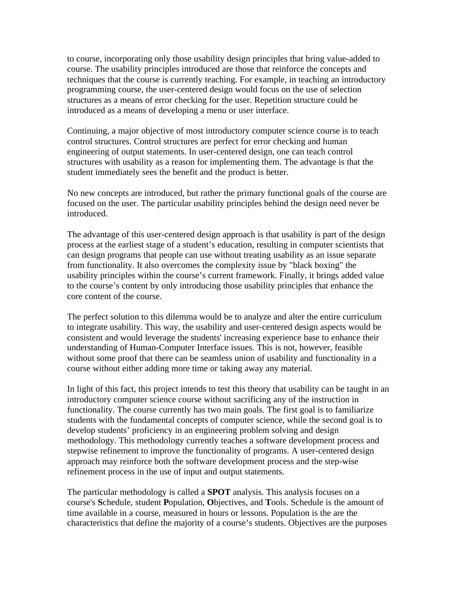to course, incorporating only those usability design principles that bring value-added to course. The usability principles introduced are those that reinforce the concepts and techniques that the course is currently teaching. For example, in teaching an introductory programming course, the user-centered design would focus on the use of selection structures as a means of error checking for the user. Repetition structure could be introduced as a means of developing a menu or user interface.

Continuing, a major objective of most introductory computer science course is to teach control structures. Control structures are perfect for error checking and human engineering of output statements. In user-centered design, one can teach control structures with usability as a reason for implementing them. The advantage is that the student immediately sees the benefit and the product is better.

No new concepts are introduced, but rather the primary functional goals of the course are focused on the user. The particular usability principles behind the design need never be introduced.

The advantage of this user-centered design approach is that usability is part of the design process at the earliest stage of a student's education, resulting in computer scientists that can design programs that people can use without treating usability as an issue separate from functionality. It also overcomes the complexity issue by "black boxing" the usability principles within the course's current framework. Finally, it brings added value to the course's content by only introducing those usability principles that enhance the core content of the course.

The perfect solution to this dilemma would be to analyze and alter the entire curriculum to integrate usability. This way, the usability and user-centered design aspects would be consistent and would leverage the students' increasing experience base to enhance their understanding of Human-Computer Interface issues. This is not, however, feasible without some proof that there can be seamless union of usability and functionality in a course without either adding more time or taking away any material.

In light of this fact, this project intends to test this theory that usability can be taught in an introductory computer science course without sacrificing any of the instruction in functionality. The course currently has two main goals. The first goal is to familiarize students with the fundamental concepts of computer science, while the second goal is to develop students' proficiency in an engineering problem solving and design methodology. This methodology currently teaches a software development process and stepwise refinement to improve the functionality of programs. A user-centered design approach may reinforce both the software development process and the step-wise refinement process in the use of input and output statements.

The particular methodology is called a **SPOT** analysis. This analysis focuses on a course's **S**chedule, student **P**opulation, **O**bjectives, and **T**ools. Schedule is the amount of time available in a course, measured in hours or lessons. Population is the are the characteristics that define the majority of a course's students. Objectives are the purposes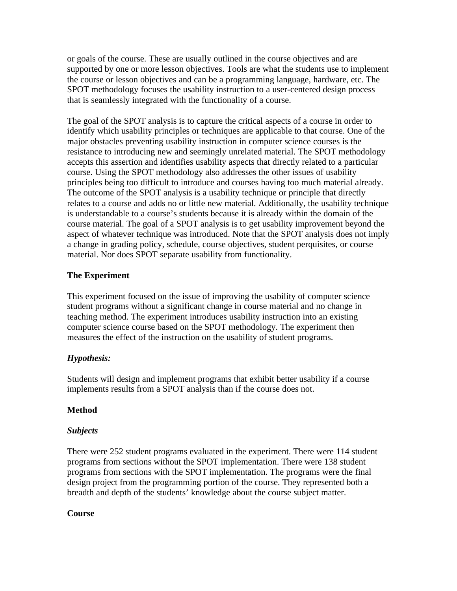or goals of the course. These are usually outlined in the course objectives and are supported by one or more lesson objectives. Tools are what the students use to implement the course or lesson objectives and can be a programming language, hardware, etc. The SPOT methodology focuses the usability instruction to a user-centered design process that is seamlessly integrated with the functionality of a course.

The goal of the SPOT analysis is to capture the critical aspects of a course in order to identify which usability principles or techniques are applicable to that course. One of the major obstacles preventing usability instruction in computer science courses is the resistance to introducing new and seemingly unrelated material. The SPOT methodology accepts this assertion and identifies usability aspects that directly related to a particular course. Using the SPOT methodology also addresses the other issues of usability principles being too difficult to introduce and courses having too much material already. The outcome of the SPOT analysis is a usability technique or principle that directly relates to a course and adds no or little new material. Additionally, the usability technique is understandable to a course's students because it is already within the domain of the course material. The goal of a SPOT analysis is to get usability improvement beyond the aspect of whatever technique was introduced. Note that the SPOT analysis does not imply a change in grading policy, schedule, course objectives, student perquisites, or course material. Nor does SPOT separate usability from functionality.

# **The Experiment**

This experiment focused on the issue of improving the usability of computer science student programs without a significant change in course material and no change in teaching method. The experiment introduces usability instruction into an existing computer science course based on the SPOT methodology. The experiment then measures the effect of the instruction on the usability of student programs.

# *Hypothesis:*

Students will design and implement programs that exhibit better usability if a course implements results from a SPOT analysis than if the course does not.

# **Method**

# *Subjects*

There were 252 student programs evaluated in the experiment. There were 114 student programs from sections without the SPOT implementation. There were 138 student programs from sections with the SPOT implementation. The programs were the final design project from the programming portion of the course. They represented both a breadth and depth of the students' knowledge about the course subject matter.

# **Course**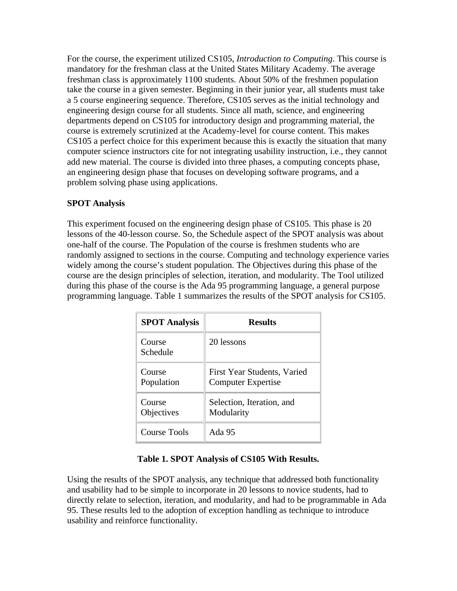For the course, the experiment utilized CS105, *Introduction to Computing*. This course is mandatory for the freshman class at the United States Military Academy. The average freshman class is approximately 1100 students. About 50% of the freshmen population take the course in a given semester. Beginning in their junior year, all students must take a 5 course engineering sequence. Therefore, CS105 serves as the initial technology and engineering design course for all students. Since all math, science, and engineering departments depend on CS105 for introductory design and programming material, the course is extremely scrutinized at the Academy-level for course content. This makes CS105 a perfect choice for this experiment because this is exactly the situation that many computer science instructors cite for not integrating usability instruction, i.e., they cannot add new material. The course is divided into three phases, a computing concepts phase, an engineering design phase that focuses on developing software programs, and a problem solving phase using applications.

# **SPOT Analysis**

This experiment focused on the engineering design phase of CS105. This phase is 20 lessons of the 40-lesson course. So, the Schedule aspect of the SPOT analysis was about one-half of the course. The Population of the course is freshmen students who are randomly assigned to sections in the course. Computing and technology experience varies widely among the course's student population. The Objectives during this phase of the course are the design principles of selection, iteration, and modularity. The Tool utilized during this phase of the course is the Ada 95 programming language, a general purpose programming language. Table 1 summarizes the results of the SPOT analysis for CS105.

| <b>SPOT Analysis</b> | <b>Results</b>                                           |
|----------------------|----------------------------------------------------------|
| Course<br>Schedule   | 20 lessons                                               |
| Course<br>Population | First Year Students, Varied<br><b>Computer Expertise</b> |
| Course<br>Objectives | Selection, Iteration, and<br>Modularity                  |
| Course Tools         | Ada 95                                                   |

# **Table 1. SPOT Analysis of CS105 With Results.**

Using the results of the SPOT analysis, any technique that addressed both functionality and usability had to be simple to incorporate in 20 lessons to novice students, had to directly relate to selection, iteration, and modularity, and had to be programmable in Ada 95. These results led to the adoption of exception handling as technique to introduce usability and reinforce functionality.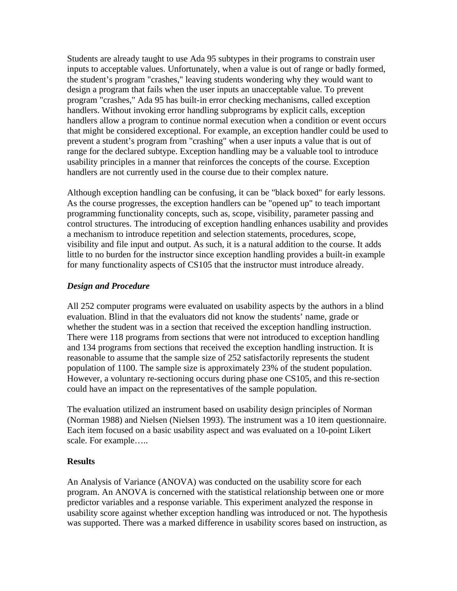Students are already taught to use Ada 95 subtypes in their programs to constrain user inputs to acceptable values. Unfortunately, when a value is out of range or badly formed, the student's program "crashes," leaving students wondering why they would want to design a program that fails when the user inputs an unacceptable value. To prevent program "crashes," Ada 95 has built-in error checking mechanisms, called exception handlers. Without invoking error handling subprograms by explicit calls, exception handlers allow a program to continue normal execution when a condition or event occurs that might be considered exceptional. For example, an exception handler could be used to prevent a student's program from "crashing" when a user inputs a value that is out of range for the declared subtype. Exception handling may be a valuable tool to introduce usability principles in a manner that reinforces the concepts of the course. Exception handlers are not currently used in the course due to their complex nature.

Although exception handling can be confusing, it can be "black boxed" for early lessons. As the course progresses, the exception handlers can be "opened up" to teach important programming functionality concepts, such as, scope, visibility, parameter passing and control structures. The introducing of exception handling enhances usability and provides a mechanism to introduce repetition and selection statements, procedures, scope, visibility and file input and output. As such, it is a natural addition to the course. It adds little to no burden for the instructor since exception handling provides a built-in example for many functionality aspects of CS105 that the instructor must introduce already.

## *Design and Procedure*

All 252 computer programs were evaluated on usability aspects by the authors in a blind evaluation. Blind in that the evaluators did not know the students' name, grade or whether the student was in a section that received the exception handling instruction. There were 118 programs from sections that were not introduced to exception handling and 134 programs from sections that received the exception handling instruction. It is reasonable to assume that the sample size of 252 satisfactorily represents the student population of 1100. The sample size is approximately 23% of the student population. However, a voluntary re-sectioning occurs during phase one CS105, and this re-section could have an impact on the representatives of the sample population.

The evaluation utilized an instrument based on usability design principles of Norman (Norman 1988) and Nielsen (Nielsen 1993). The instrument was a 10 item questionnaire. Each item focused on a basic usability aspect and was evaluated on a 10-point Likert scale. For example…..

## **Results**

An Analysis of Variance (ANOVA) was conducted on the usability score for each program. An ANOVA is concerned with the statistical relationship between one or more predictor variables and a response variable. This experiment analyzed the response in usability score against whether exception handling was introduced or not. The hypothesis was supported. There was a marked difference in usability scores based on instruction, as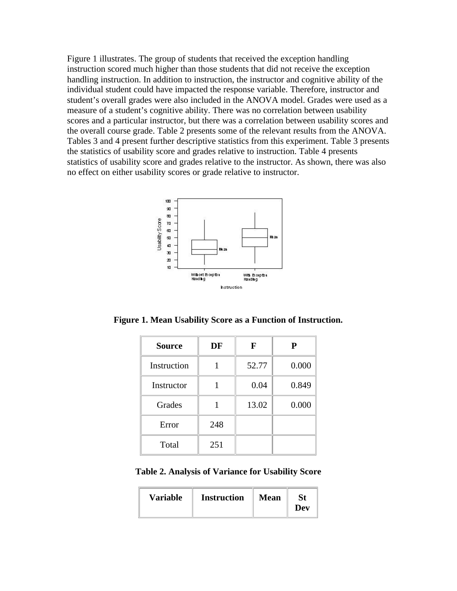Figure 1 illustrates. The group of students that received the exception handling instruction scored much higher than those students that did not receive the exception handling instruction. In addition to instruction, the instructor and cognitive ability of the individual student could have impacted the response variable. Therefore, instructor and student's overall grades were also included in the ANOVA model. Grades were used as a measure of a student's cognitive ability. There was no correlation between usability scores and a particular instructor, but there was a correlation between usability scores and the overall course grade. Table 2 presents some of the relevant results from the ANOVA. Tables 3 and 4 present further descriptive statistics from this experiment. Table 3 presents the statistics of usability score and grades relative to instruction. Table 4 presents statistics of usability score and grades relative to the instructor. As shown, there was also no effect on either usability scores or grade relative to instructor.



**Figure 1. Mean Usability Score as a Function of Instruction.**

| <b>Source</b> | DF  | F     | P     |
|---------------|-----|-------|-------|
| Instruction   |     | 52.77 | 0.000 |
| Instructor    |     | 0.04  | 0.849 |
| Grades        |     | 13.02 | 0.000 |
| Error         | 248 |       |       |
| Total         | 251 |       |       |

**Table 2. Analysis of Variance for Usability Score** 

| <b>Variable</b> | <b>Instruction</b> | <b>Mean</b> | <b>St</b><br>Dev |
|-----------------|--------------------|-------------|------------------|
|-----------------|--------------------|-------------|------------------|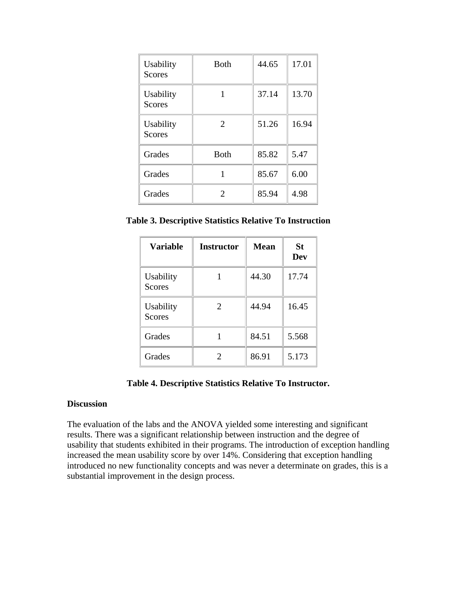| Usability<br><b>Scores</b> | <b>B</b> oth                | 44.65 | 17.01 |
|----------------------------|-----------------------------|-------|-------|
| Usability<br><b>Scores</b> |                             | 37.14 | 13.70 |
| Usability<br><b>Scores</b> | 2                           | 51.26 | 16.94 |
| Grades                     | <b>Both</b>                 | 85.82 | 5.47  |
| Grades                     |                             | 85.67 | 6.00  |
| Grades                     | $\mathcal{D}_{\mathcal{A}}$ | 85.94 | 4.98  |

**Table 3. Descriptive Statistics Relative To Instruction**

| <b>Variable</b>            | <b>Instructor</b> | <b>Mean</b> | St<br>Dev |
|----------------------------|-------------------|-------------|-----------|
| Usability<br><b>Scores</b> |                   | 44.30       | 17.74     |
| Usability<br><b>Scores</b> | $\overline{2}$    | 44.94       | 16.45     |
| Grades                     |                   | 84.51       | 5.568     |
| Grades                     |                   | 86.91       | 5.173     |

## **Table 4. Descriptive Statistics Relative To Instructor.**

#### **Discussion**

The evaluation of the labs and the ANOVA yielded some interesting and significant results. There was a significant relationship between instruction and the degree of usability that students exhibited in their programs. The introduction of exception handling increased the mean usability score by over 14%. Considering that exception handling introduced no new functionality concepts and was never a determinate on grades, this is a substantial improvement in the design process.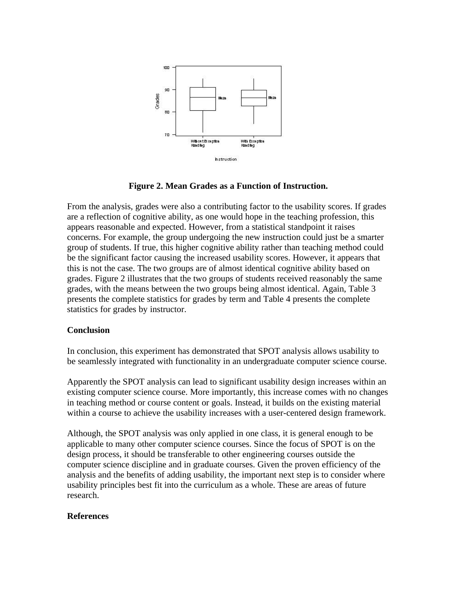

**Figure 2. Mean Grades as a Function of Instruction.**

From the analysis, grades were also a contributing factor to the usability scores. If grades are a reflection of cognitive ability, as one would hope in the teaching profession, this appears reasonable and expected. However, from a statistical standpoint it raises concerns. For example, the group undergoing the new instruction could just be a smarter group of students. If true, this higher cognitive ability rather than teaching method could be the significant factor causing the increased usability scores. However, it appears that this is not the case. The two groups are of almost identical cognitive ability based on grades. Figure 2 illustrates that the two groups of students received reasonably the same grades, with the means between the two groups being almost identical. Again, Table 3 presents the complete statistics for grades by term and Table 4 presents the complete statistics for grades by instructor.

## **Conclusion**

In conclusion, this experiment has demonstrated that SPOT analysis allows usability to be seamlessly integrated with functionality in an undergraduate computer science course.

Apparently the SPOT analysis can lead to significant usability design increases within an existing computer science course. More importantly, this increase comes with no changes in teaching method or course content or goals. Instead, it builds on the existing material within a course to achieve the usability increases with a user-centered design framework.

Although, the SPOT analysis was only applied in one class, it is general enough to be applicable to many other computer science courses. Since the focus of SPOT is on the design process, it should be transferable to other engineering courses outside the computer science discipline and in graduate courses. Given the proven efficiency of the analysis and the benefits of adding usability, the important next step is to consider where usability principles best fit into the curriculum as a whole. These are areas of future research.

#### **References**